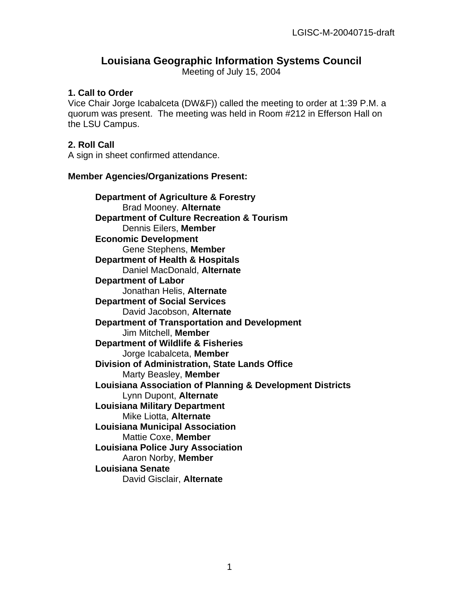# **Louisiana Geographic Information Systems Council**

Meeting of July 15, 2004

#### **1. Call to Order**

Vice Chair Jorge Icabalceta (DW&F)) called the meeting to order at 1:39 P.M. a quorum was present. The meeting was held in Room #212 in Efferson Hall on the LSU Campus.

#### **2. Roll Call**

A sign in sheet confirmed attendance.

#### **Member Agencies/Organizations Present:**

**Department of Agriculture & Forestry** Brad Mooney. **Alternate Department of Culture Recreation & Tourism** Dennis Eilers, **Member Economic Development** Gene Stephens, **Member Department of Health & Hospitals**  Daniel MacDonald, **Alternate Department of Labor** Jonathan Helis, **Alternate Department of Social Services** David Jacobson, **Alternate Department of Transportation and Development**  Jim Mitchell, **Member Department of Wildlife & Fisheries** Jorge Icabalceta, **Member Division of Administration, State Lands Office** Marty Beasley, **Member Louisiana Association of Planning & Development Districts** Lynn Dupont, **Alternate Louisiana Military Department** Mike Liotta, **Alternate Louisiana Municipal Association** Mattie Coxe, **Member Louisiana Police Jury Association** Aaron Norby, **Member Louisiana Senate** David Gisclair, **Alternate**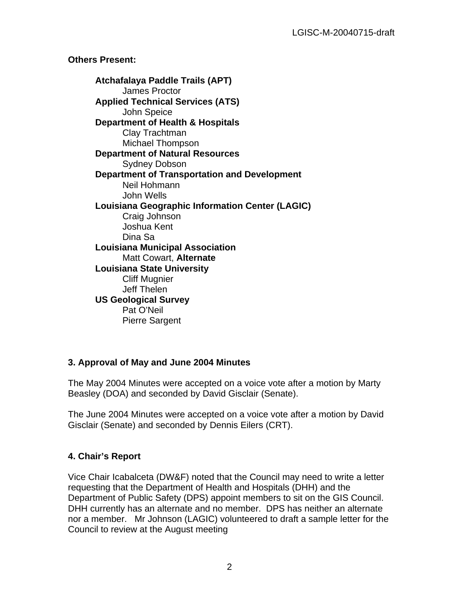## **Others Present:**

**Atchafalaya Paddle Trails (APT)** James Proctor **Applied Technical Services (ATS)** John Speice **Department of Health & Hospitals**  Clay Trachtman Michael Thompson **Department of Natural Resources**  Sydney Dobson **Department of Transportation and Development**  Neil Hohmann John Wells **Louisiana Geographic Information Center (LAGIC)**  Craig Johnson Joshua Kent Dina Sa **Louisiana Municipal Association**  Matt Cowart, **Alternate Louisiana State University** Cliff Mugnier Jeff Thelen **US Geological Survey**  Pat O'Neil Pierre Sargent

## **3. Approval of May and June 2004 Minutes**

The May 2004 Minutes were accepted on a voice vote after a motion by Marty Beasley (DOA) and seconded by David Gisclair (Senate).

The June 2004 Minutes were accepted on a voice vote after a motion by David Gisclair (Senate) and seconded by Dennis Eilers (CRT).

## **4. Chair's Report**

Vice Chair Icabalceta (DW&F) noted that the Council may need to write a letter requesting that the Department of Health and Hospitals (DHH) and the Department of Public Safety (DPS) appoint members to sit on the GIS Council. DHH currently has an alternate and no member. DPS has neither an alternate nor a member. Mr Johnson (LAGIC) volunteered to draft a sample letter for the Council to review at the August meeting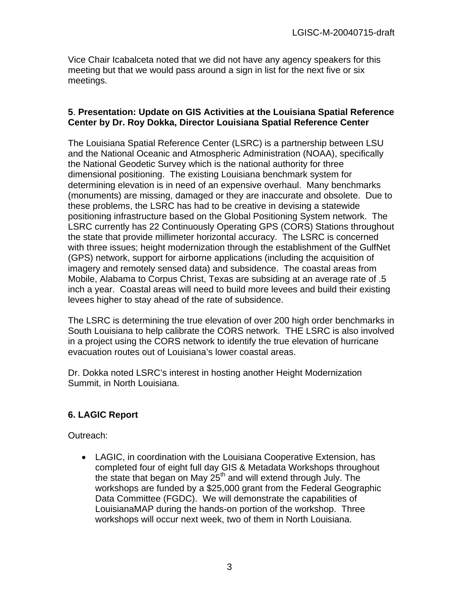Vice Chair Icabalceta noted that we did not have any agency speakers for this meeting but that we would pass around a sign in list for the next five or six meetings.

#### **5**. **Presentation: Update on GIS Activities at the Louisiana Spatial Reference Center by Dr. Roy Dokka, Director Louisiana Spatial Reference Center**

The Louisiana Spatial Reference Center (LSRC) is a partnership between LSU and the National Oceanic and Atmospheric Administration (NOAA), specifically the National Geodetic Survey which is the national authority for three dimensional positioning. The existing Louisiana benchmark system for determining elevation is in need of an expensive overhaul. Many benchmarks (monuments) are missing, damaged or they are inaccurate and obsolete. Due to these problems, the LSRC has had to be creative in devising a statewide positioning infrastructure based on the Global Positioning System network. The LSRC currently has 22 Continuously Operating GPS (CORS) Stations throughout the state that provide millimeter horizontal accuracy. The LSRC is concerned with three issues; height modernization through the establishment of the GulfNet (GPS) network, support for airborne applications (including the acquisition of imagery and remotely sensed data) and subsidence. The coastal areas from Mobile, Alabama to Corpus Christ, Texas are subsiding at an average rate of .5 inch a year. Coastal areas will need to build more levees and build their existing levees higher to stay ahead of the rate of subsidence.

The LSRC is determining the true elevation of over 200 high order benchmarks in South Louisiana to help calibrate the CORS network. THE LSRC is also involved in a project using the CORS network to identify the true elevation of hurricane evacuation routes out of Louisiana's lower coastal areas.

Dr. Dokka noted LSRC's interest in hosting another Height Modernization Summit, in North Louisiana.

# **6. LAGIC Report**

Outreach:

• LAGIC, in coordination with the Louisiana Cooperative Extension, has completed four of eight full day GIS & Metadata Workshops throughout the state that began on May  $25<sup>th</sup>$  and will extend through July. The workshops are funded by a \$25,000 grant from the Federal Geographic Data Committee (FGDC). We will demonstrate the capabilities of LouisianaMAP during the hands-on portion of the workshop. Three workshops will occur next week, two of them in North Louisiana.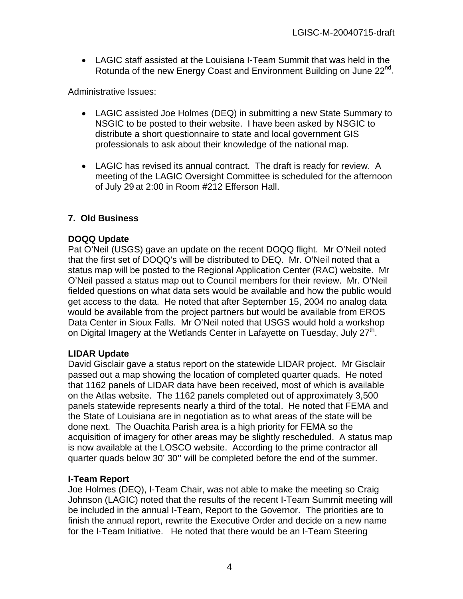• LAGIC staff assisted at the Louisiana I-Team Summit that was held in the Rotunda of the new Energy Coast and Environment Building on June 22<sup>nd</sup>.

Administrative Issues:

- LAGIC assisted Joe Holmes (DEQ) in submitting a new State Summary to NSGIC to be posted to their website. I have been asked by NSGIC to distribute a short questionnaire to state and local government GIS professionals to ask about their knowledge of the national map.
- LAGIC has revised its annual contract. The draft is ready for review. A meeting of the LAGIC Oversight Committee is scheduled for the afternoon of July 29 at 2:00 in Room #212 Efferson Hall.

## **7. Old Business**

#### **DOQQ Update**

Pat O'Neil (USGS) gave an update on the recent DOQQ flight. Mr O'Neil noted that the first set of DOQQ's will be distributed to DEQ. Mr. O'Neil noted that a status map will be posted to the Regional Application Center (RAC) website. Mr O'Neil passed a status map out to Council members for their review. Mr. O'Neil fielded questions on what data sets would be available and how the public would get access to the data. He noted that after September 15, 2004 no analog data would be available from the project partners but would be available from EROS Data Center in Sioux Falls. Mr O'Neil noted that USGS would hold a workshop on Digital Imagery at the Wetlands Center in Lafayette on Tuesday, July  $27<sup>th</sup>$ .

## **LIDAR Update**

David Gisclair gave a status report on the statewide LIDAR project. Mr Gisclair passed out a map showing the location of completed quarter quads. He noted that 1162 panels of LIDAR data have been received, most of which is available on the Atlas website. The 1162 panels completed out of approximately 3,500 panels statewide represents nearly a third of the total. He noted that FEMA and the State of Louisiana are in negotiation as to what areas of the state will be done next. The Ouachita Parish area is a high priority for FEMA so the acquisition of imagery for other areas may be slightly rescheduled. A status map is now available at the LOSCO website. According to the prime contractor all quarter quads below 30' 30'' will be completed before the end of the summer.

#### **I-Team Report**

Joe Holmes (DEQ), I-Team Chair, was not able to make the meeting so Craig Johnson (LAGIC) noted that the results of the recent I-Team Summit meeting will be included in the annual I-Team, Report to the Governor. The priorities are to finish the annual report, rewrite the Executive Order and decide on a new name for the I-Team Initiative. He noted that there would be an I-Team Steering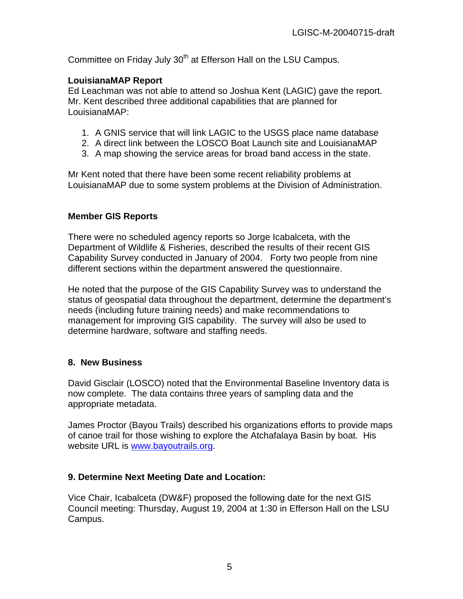Committee on Friday July 30<sup>th</sup> at Efferson Hall on the LSU Campus.

#### **LouisianaMAP Report**

Ed Leachman was not able to attend so Joshua Kent (LAGIC) gave the report. Mr. Kent described three additional capabilities that are planned for LouisianaMAP:

- 1. A GNIS service that will link LAGIC to the USGS place name database
- 2. A direct link between the LOSCO Boat Launch site and LouisianaMAP
- 3. A map showing the service areas for broad band access in the state.

Mr Kent noted that there have been some recent reliability problems at LouisianaMAP due to some system problems at the Division of Administration.

#### **Member GIS Reports**

There were no scheduled agency reports so Jorge Icabalceta, with the Department of Wildlife & Fisheries, described the results of their recent GIS Capability Survey conducted in January of 2004. Forty two people from nine different sections within the department answered the questionnaire.

He noted that the purpose of the GIS Capability Survey was to understand the status of geospatial data throughout the department, determine the department's needs (including future training needs) and make recommendations to management for improving GIS capability. The survey will also be used to determine hardware, software and staffing needs.

## **8. New Business**

David Gisclair (LOSCO) noted that the Environmental Baseline Inventory data is now complete. The data contains three years of sampling data and the appropriate metadata.

James Proctor (Bayou Trails) described his organizations efforts to provide maps of canoe trail for those wishing to explore the Atchafalaya Basin by boat. His website URL is [www.bayoutrails.org.](http://www.bayoutrails.org/)

## **9. Determine Next Meeting Date and Location:**

Vice Chair, Icabalceta (DW&F) proposed the following date for the next GIS Council meeting: Thursday, August 19, 2004 at 1:30 in Efferson Hall on the LSU Campus.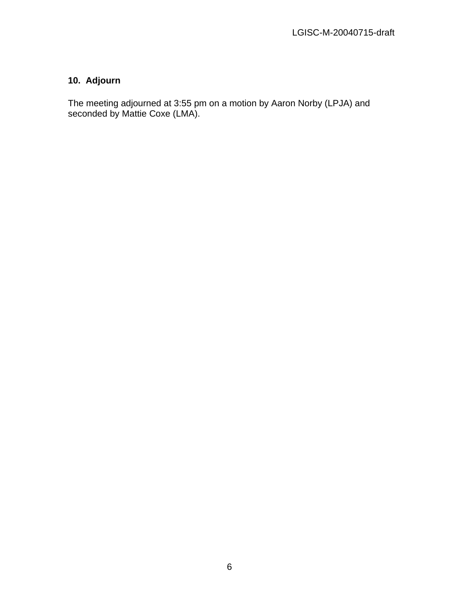# **10. Adjourn**

The meeting adjourned at 3:55 pm on a motion by Aaron Norby (LPJA) and seconded by Mattie Coxe (LMA).